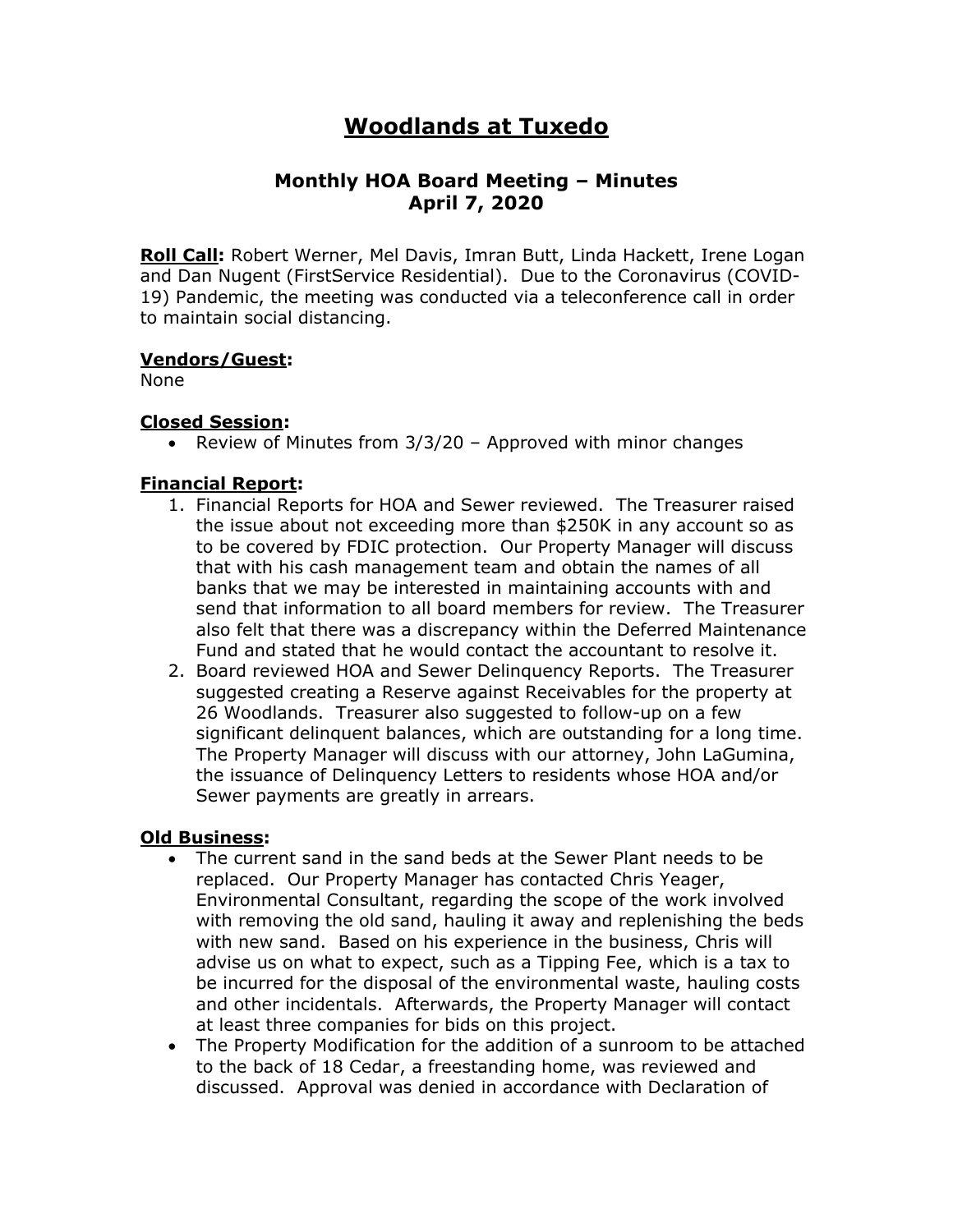# **Woodlands at Tuxedo**

## **Monthly HOA Board Meeting – Minutes April 7, 2020**

**Roll Call:** Robert Werner, Mel Davis, Imran Butt, Linda Hackett, Irene Logan and Dan Nugent (FirstService Residential). Due to the Coronavirus (COVID-19) Pandemic, the meeting was conducted via a teleconference call in order to maintain social distancing.

## **Vendors/Guest:**

None

## **Closed Session:**

• Review of Minutes from 3/3/20 – Approved with minor changes

## **Financial Report:**

- 1. Financial Reports for HOA and Sewer reviewed. The Treasurer raised the issue about not exceeding more than \$250K in any account so as to be covered by FDIC protection. Our Property Manager will discuss that with his cash management team and obtain the names of all banks that we may be interested in maintaining accounts with and send that information to all board members for review. The Treasurer also felt that there was a discrepancy within the Deferred Maintenance Fund and stated that he would contact the accountant to resolve it.
- 2. Board reviewed HOA and Sewer Delinquency Reports. The Treasurer suggested creating a Reserve against Receivables for the property at 26 Woodlands. Treasurer also suggested to follow-up on a few significant delinquent balances, which are outstanding for a long time. The Property Manager will discuss with our attorney, John LaGumina, the issuance of Delinquency Letters to residents whose HOA and/or Sewer payments are greatly in arrears.

#### **Old Business:**

- The current sand in the sand beds at the Sewer Plant needs to be replaced. Our Property Manager has contacted Chris Yeager, Environmental Consultant, regarding the scope of the work involved with removing the old sand, hauling it away and replenishing the beds with new sand. Based on his experience in the business, Chris will advise us on what to expect, such as a Tipping Fee, which is a tax to be incurred for the disposal of the environmental waste, hauling costs and other incidentals. Afterwards, the Property Manager will contact at least three companies for bids on this project.
- The Property Modification for the addition of a sunroom to be attached to the back of 18 Cedar, a freestanding home, was reviewed and discussed. Approval was denied in accordance with Declaration of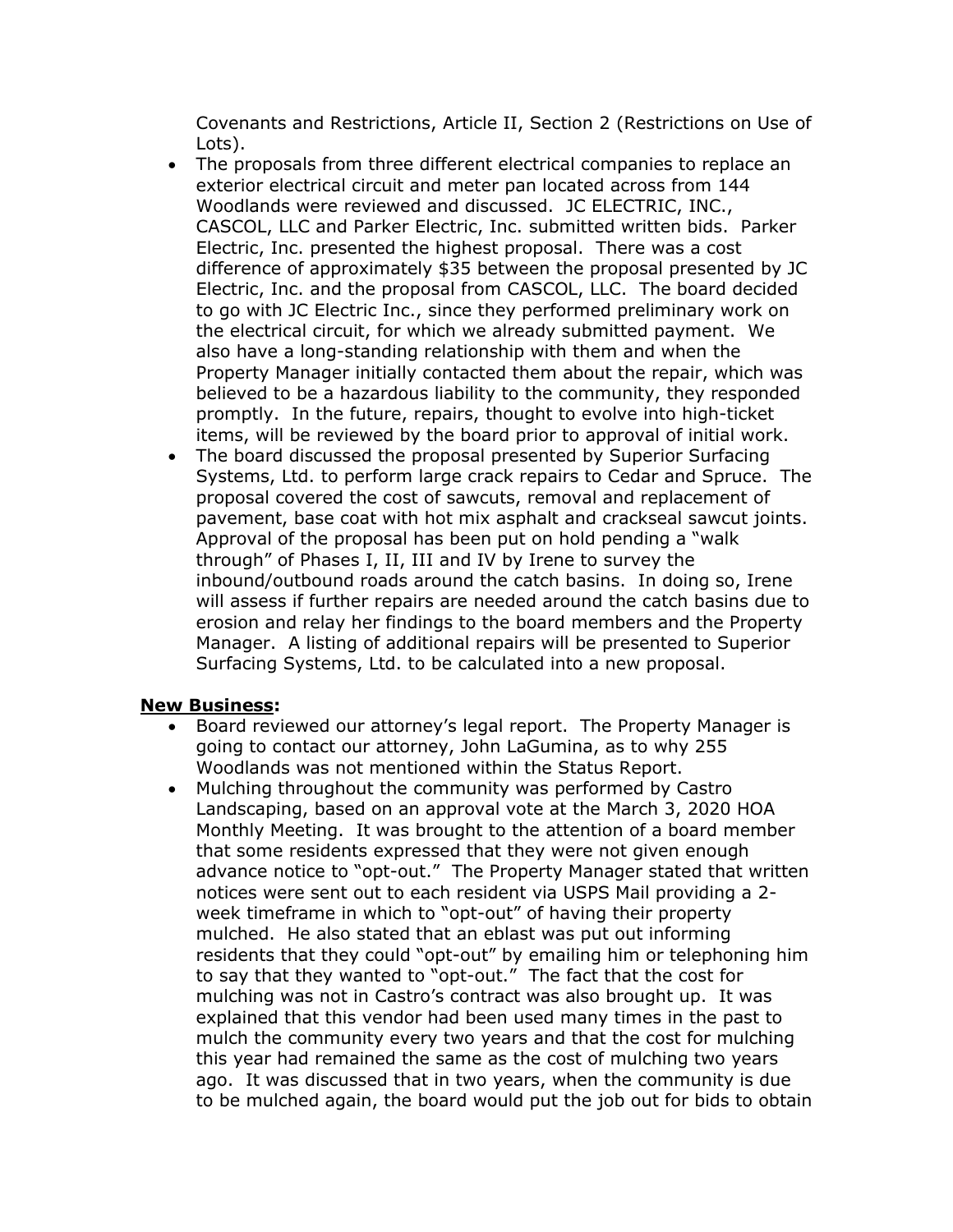Covenants and Restrictions, Article II, Section 2 (Restrictions on Use of Lots).

- The proposals from three different electrical companies to replace an exterior electrical circuit and meter pan located across from 144 Woodlands were reviewed and discussed. JC ELECTRIC, INC., CASCOL, LLC and Parker Electric, Inc. submitted written bids. Parker Electric, Inc. presented the highest proposal. There was a cost difference of approximately \$35 between the proposal presented by JC Electric, Inc. and the proposal from CASCOL, LLC. The board decided to go with JC Electric Inc., since they performed preliminary work on the electrical circuit, for which we already submitted payment. We also have a long-standing relationship with them and when the Property Manager initially contacted them about the repair, which was believed to be a hazardous liability to the community, they responded promptly. In the future, repairs, thought to evolve into high-ticket items, will be reviewed by the board prior to approval of initial work.
- The board discussed the proposal presented by Superior Surfacing Systems, Ltd. to perform large crack repairs to Cedar and Spruce. The proposal covered the cost of sawcuts, removal and replacement of pavement, base coat with hot mix asphalt and crackseal sawcut joints. Approval of the proposal has been put on hold pending a "walk through" of Phases I, II, III and IV by Irene to survey the inbound/outbound roads around the catch basins. In doing so, Irene will assess if further repairs are needed around the catch basins due to erosion and relay her findings to the board members and the Property Manager. A listing of additional repairs will be presented to Superior Surfacing Systems, Ltd. to be calculated into a new proposal.

#### **New Business:**

- Board reviewed our attorney's legal report. The Property Manager is going to contact our attorney, John LaGumina, as to why 255 Woodlands was not mentioned within the Status Report.
- Mulching throughout the community was performed by Castro Landscaping, based on an approval vote at the March 3, 2020 HOA Monthly Meeting. It was brought to the attention of a board member that some residents expressed that they were not given enough advance notice to "opt-out." The Property Manager stated that written notices were sent out to each resident via USPS Mail providing a 2 week timeframe in which to "opt-out" of having their property mulched. He also stated that an eblast was put out informing residents that they could "opt-out" by emailing him or telephoning him to say that they wanted to "opt-out." The fact that the cost for mulching was not in Castro's contract was also brought up. It was explained that this vendor had been used many times in the past to mulch the community every two years and that the cost for mulching this year had remained the same as the cost of mulching two years ago. It was discussed that in two years, when the community is due to be mulched again, the board would put the job out for bids to obtain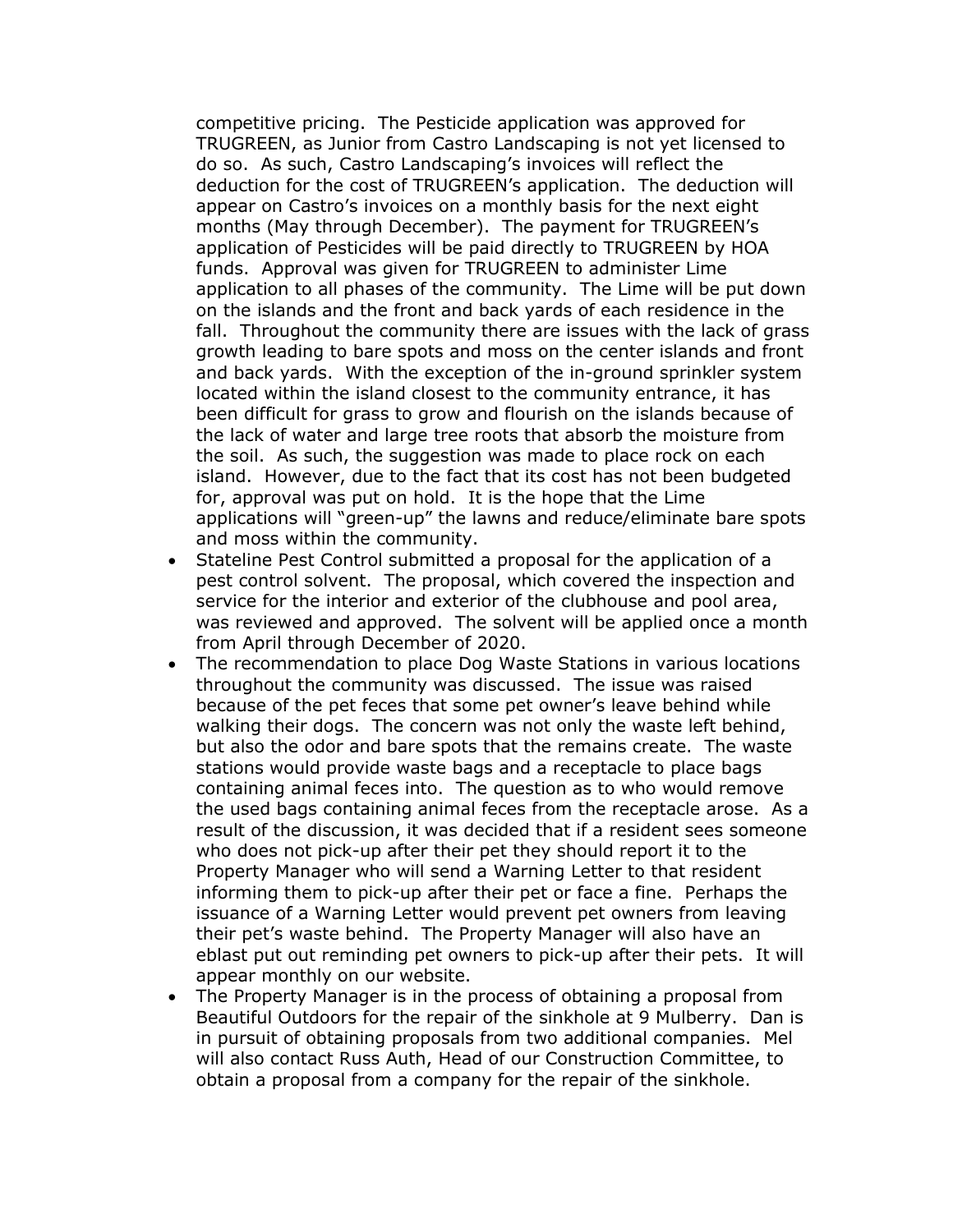competitive pricing. The Pesticide application was approved for TRUGREEN, as Junior from Castro Landscaping is not yet licensed to do so. As such, Castro Landscaping's invoices will reflect the deduction for the cost of TRUGREEN's application. The deduction will appear on Castro's invoices on a monthly basis for the next eight months (May through December). The payment for TRUGREEN's application of Pesticides will be paid directly to TRUGREEN by HOA funds. Approval was given for TRUGREEN to administer Lime application to all phases of the community. The Lime will be put down on the islands and the front and back yards of each residence in the fall. Throughout the community there are issues with the lack of grass growth leading to bare spots and moss on the center islands and front and back yards. With the exception of the in-ground sprinkler system located within the island closest to the community entrance, it has been difficult for grass to grow and flourish on the islands because of the lack of water and large tree roots that absorb the moisture from the soil. As such, the suggestion was made to place rock on each island. However, due to the fact that its cost has not been budgeted for, approval was put on hold. It is the hope that the Lime applications will "green-up" the lawns and reduce/eliminate bare spots and moss within the community.

- Stateline Pest Control submitted a proposal for the application of a pest control solvent. The proposal, which covered the inspection and service for the interior and exterior of the clubhouse and pool area, was reviewed and approved. The solvent will be applied once a month from April through December of 2020.
- The recommendation to place Dog Waste Stations in various locations throughout the community was discussed. The issue was raised because of the pet feces that some pet owner's leave behind while walking their dogs. The concern was not only the waste left behind, but also the odor and bare spots that the remains create. The waste stations would provide waste bags and a receptacle to place bags containing animal feces into. The question as to who would remove the used bags containing animal feces from the receptacle arose. As a result of the discussion, it was decided that if a resident sees someone who does not pick-up after their pet they should report it to the Property Manager who will send a Warning Letter to that resident informing them to pick-up after their pet or face a fine. Perhaps the issuance of a Warning Letter would prevent pet owners from leaving their pet's waste behind. The Property Manager will also have an eblast put out reminding pet owners to pick-up after their pets. It will appear monthly on our website.
- The Property Manager is in the process of obtaining a proposal from Beautiful Outdoors for the repair of the sinkhole at 9 Mulberry. Dan is in pursuit of obtaining proposals from two additional companies. Mel will also contact Russ Auth, Head of our Construction Committee, to obtain a proposal from a company for the repair of the sinkhole.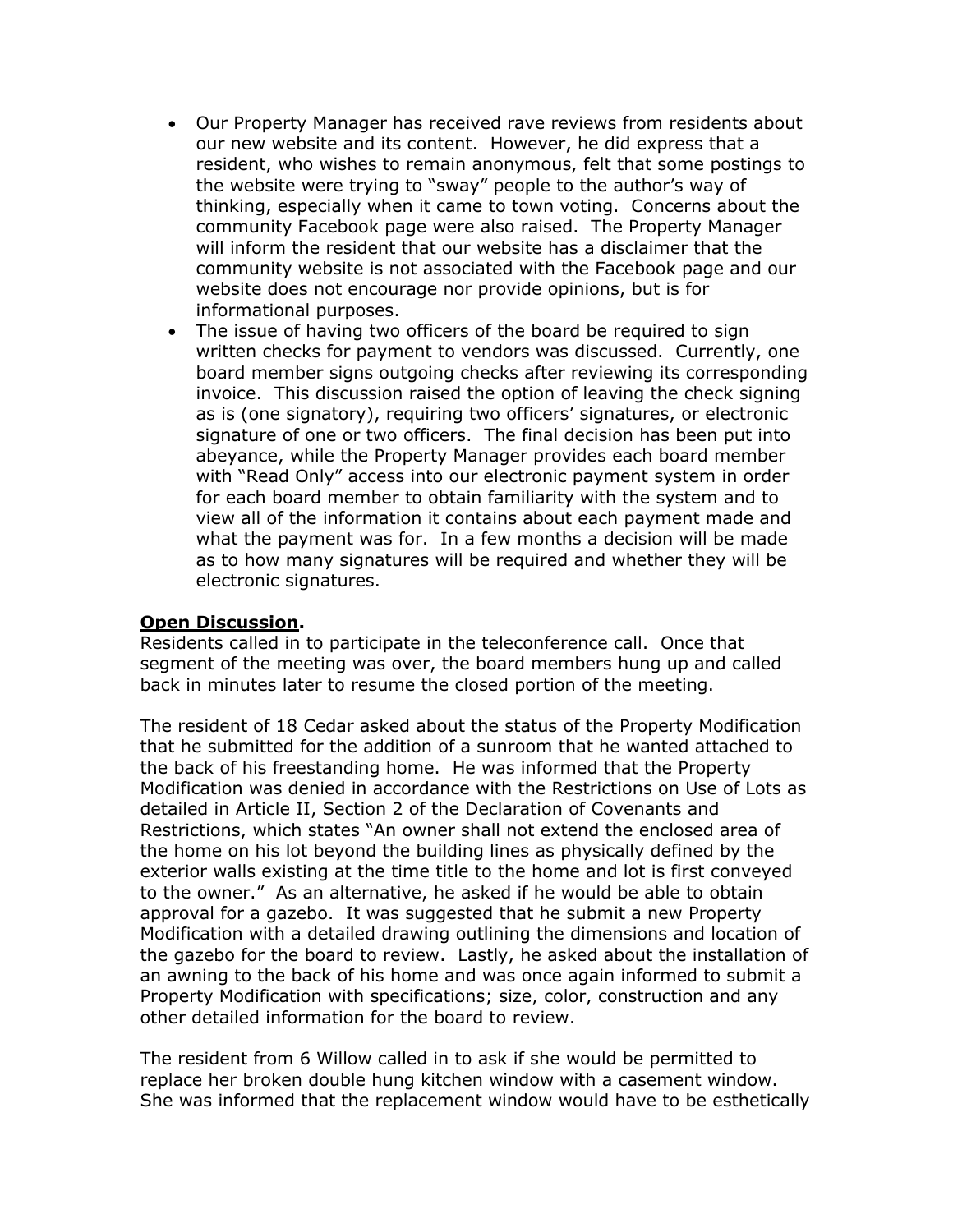- Our Property Manager has received rave reviews from residents about our new website and its content. However, he did express that a resident, who wishes to remain anonymous, felt that some postings to the website were trying to "sway" people to the author's way of thinking, especially when it came to town voting. Concerns about the community Facebook page were also raised. The Property Manager will inform the resident that our website has a disclaimer that the community website is not associated with the Facebook page and our website does not encourage nor provide opinions, but is for informational purposes.
- The issue of having two officers of the board be required to sign written checks for payment to vendors was discussed. Currently, one board member signs outgoing checks after reviewing its corresponding invoice. This discussion raised the option of leaving the check signing as is (one signatory), requiring two officers' signatures, or electronic signature of one or two officers. The final decision has been put into abeyance, while the Property Manager provides each board member with "Read Only" access into our electronic payment system in order for each board member to obtain familiarity with the system and to view all of the information it contains about each payment made and what the payment was for. In a few months a decision will be made as to how many signatures will be required and whether they will be electronic signatures.

### **Open Discussion.**

Residents called in to participate in the teleconference call. Once that segment of the meeting was over, the board members hung up and called back in minutes later to resume the closed portion of the meeting.

The resident of 18 Cedar asked about the status of the Property Modification that he submitted for the addition of a sunroom that he wanted attached to the back of his freestanding home. He was informed that the Property Modification was denied in accordance with the Restrictions on Use of Lots as detailed in Article II, Section 2 of the Declaration of Covenants and Restrictions, which states "An owner shall not extend the enclosed area of the home on his lot beyond the building lines as physically defined by the exterior walls existing at the time title to the home and lot is first conveyed to the owner." As an alternative, he asked if he would be able to obtain approval for a gazebo. It was suggested that he submit a new Property Modification with a detailed drawing outlining the dimensions and location of the gazebo for the board to review. Lastly, he asked about the installation of an awning to the back of his home and was once again informed to submit a Property Modification with specifications; size, color, construction and any other detailed information for the board to review.

The resident from 6 Willow called in to ask if she would be permitted to replace her broken double hung kitchen window with a casement window. She was informed that the replacement window would have to be esthetically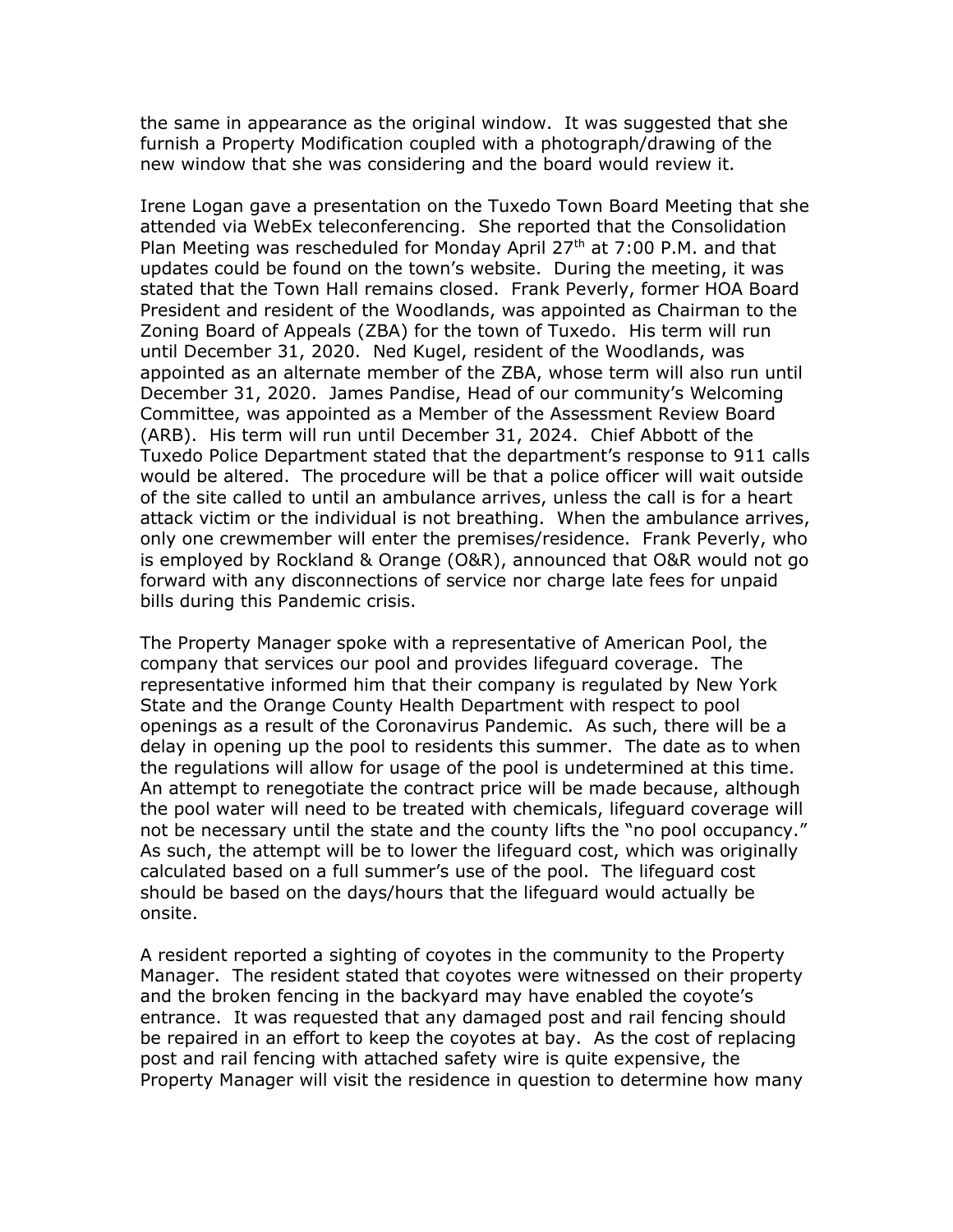the same in appearance as the original window. It was suggested that she furnish a Property Modification coupled with a photograph/drawing of the new window that she was considering and the board would review it.

Irene Logan gave a presentation on the Tuxedo Town Board Meeting that she attended via WebEx teleconferencing. She reported that the Consolidation Plan Meeting was rescheduled for Monday April 27<sup>th</sup> at 7:00 P.M. and that updates could be found on the town's website. During the meeting, it was stated that the Town Hall remains closed. Frank Peverly, former HOA Board President and resident of the Woodlands, was appointed as Chairman to the Zoning Board of Appeals (ZBA) for the town of Tuxedo. His term will run until December 31, 2020. Ned Kugel, resident of the Woodlands, was appointed as an alternate member of the ZBA, whose term will also run until December 31, 2020. James Pandise, Head of our community's Welcoming Committee, was appointed as a Member of the Assessment Review Board (ARB). His term will run until December 31, 2024. Chief Abbott of the Tuxedo Police Department stated that the department's response to 911 calls would be altered. The procedure will be that a police officer will wait outside of the site called to until an ambulance arrives, unless the call is for a heart attack victim or the individual is not breathing. When the ambulance arrives, only one crewmember will enter the premises/residence. Frank Peverly, who is employed by Rockland & Orange (O&R), announced that O&R would not go forward with any disconnections of service nor charge late fees for unpaid bills during this Pandemic crisis.

The Property Manager spoke with a representative of American Pool, the company that services our pool and provides lifeguard coverage. The representative informed him that their company is regulated by New York State and the Orange County Health Department with respect to pool openings as a result of the Coronavirus Pandemic. As such, there will be a delay in opening up the pool to residents this summer. The date as to when the regulations will allow for usage of the pool is undetermined at this time. An attempt to renegotiate the contract price will be made because, although the pool water will need to be treated with chemicals, lifeguard coverage will not be necessary until the state and the county lifts the "no pool occupancy." As such, the attempt will be to lower the lifeguard cost, which was originally calculated based on a full summer's use of the pool. The lifeguard cost should be based on the days/hours that the lifeguard would actually be onsite.

A resident reported a sighting of coyotes in the community to the Property Manager. The resident stated that coyotes were witnessed on their property and the broken fencing in the backyard may have enabled the coyote's entrance. It was requested that any damaged post and rail fencing should be repaired in an effort to keep the coyotes at bay. As the cost of replacing post and rail fencing with attached safety wire is quite expensive, the Property Manager will visit the residence in question to determine how many